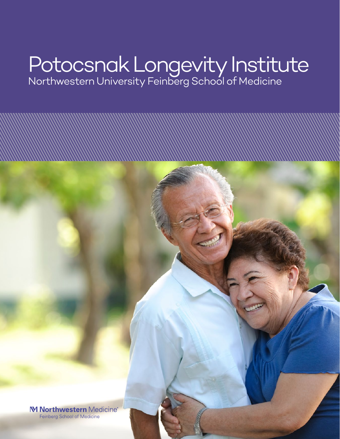# Potocsnak Longevity Institute Northwestern University Feinberg School of Medicine

M Northwestern Medicine® Feinberg School of Medicine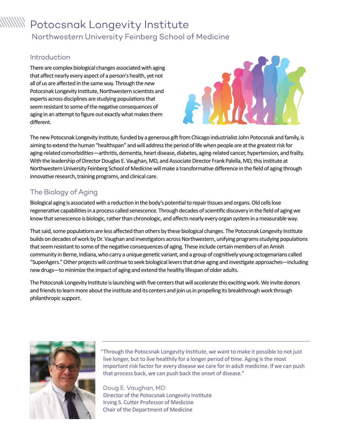## $\textcolor{red}{\text{mult}}\ \mathsf{Postosnak}\ \textsf{Longivity}\ \textsf{Institute}$ Northwestern University Feinberg School of Medicine

#### Introduction

There are complex biological changes associated with aging that affect nearly every aspect of a person's health, yet not all of us are affected in the same way. Through the new Potocsnak Longevity Institute, Northwestern scientists and experts across disciplines are studying populations that seem resistant to some of the negative consequences of aging in an attempt to figure out exactly what makes them different.



The new Potocsnak Longevity Institute, funded by a generous gift from Chicago industrialist John Potocsnak and family, is aiming to extend the human "healthspan" and will address the period of life when people are at the greatest risk for aging-related comorbidities—arthritis, dementia, heart disease, diabetes, aging-related cancer, hypertension, and frailty. With the leadership of Director Douglas E. Vaughan, MD, and Associate Director Frank Palella, MD, this institute at Northwestern University Feinberg School of Medicine will make a transformative difference in the field of aging through innovative research, training programs, and clinical care.

## The Biology of Aging

Biological aging is associated with a reduction in the body's potential to repair tissues and organs. Old cells lose regenerative capabilities in a process called senescence. Through decades of scientific discovery in the field of aging we know that senescence is biologic, rather than chronologic, and affects nearly every organ system in a measurable way.

That said, some populations are less affected than others by these biological changes. The Potocsnak Longevity Institute builds on decades of work by Dr. Vaughan and investigators across Northwestern, unifying programs studying populations that seem resistant to some of the negative consequences of aging. These include certain members of an Amish community in Berne, Indiana, who carry a unique genetic variant, and a group of cognitively young octogenarians called "SuperAgers." Other projects will continue to seek biological levers that drive aging and investigate approaches—including new drugs—to minimize the impact of aging and extend the healthy lifespan of older adults.

The Potocsnak Longevity Institute is launching with five centers that will accelerate this exciting work. We invite donors and friends to learn more about the institute and its centers and join us in propelling its breakthrough work through philanthropic support.



"Through the Potocsnak Longevity Institute, we want to make it possible to not just live longer, but to live healthily for a longer period of time. Aging is the most important risk factor for every disease we care for in adult medicine. If we can push that process back, we can push back the onset of disease."

Doug E. Vaughan, MD Director of the Potocsnak Longevity Institute Irving S. Cutter Professor of Medicine Chair of the Department of Medicine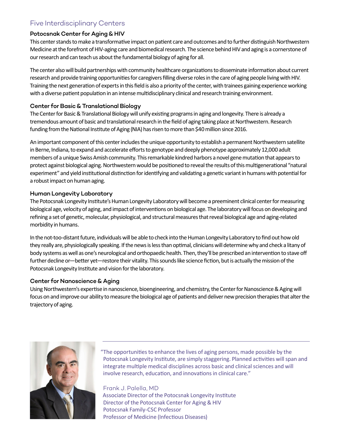## Five Interdisciplinary Centers

#### Potocsnak Center for Aging & HIV

This center stands to make a transformative impact on patient care and outcomes and to further distinguish Northwestern Medicine at the forefront of HIV-aging care and biomedical research. The science behind HIV and aging is a cornerstone of our research and can teach us about the fundamental biology of aging for all.

The center also will build partnerships with community healthcare organizations to disseminate information about current research and provide training opportunities for caregivers filling diverse roles in the care of aging people living with HIV. Training the next generation of experts in this field is also a priority of the center, with trainees gaining experience working with a diverse patient population in an intense multidisciplinary clinical and research training environment.

#### Center for Basic & Translational Biology

The Center for Basic & Translational Biology will unify existing programs in aging and longevity. There is already a tremendous amount of basic and translational research in the field of aging taking place at Northwestern. Research funding from the National Institute of Aging (NIA) has risen to more than \$40 million since 2016.

An important component of this center includes the unique opportunity to establish a permanent Northwestern satellite in Berne, Indiana, to expand and accelerate efforts to genotype and deeply phenotype approximately 12,000 adult members of a unique Swiss Amish community. This remarkable kindred harbors a novel gene mutation that appears to protect against biological aging. Northwestern would be positioned to reveal the results of this multigenerational "natural experiment" and yield institutional distinction for identifying and validating a genetic variant in humans with potential for a robust impact on human aging.

#### Human Longevity Laboratory

The Potocsnak Longevity Institute's Human Longevity Laboratory will become a preeminent clinical center for measuring biological age, velocity of aging, and impact of interventions on biological age. The laboratory will focus on developing and refining a set of genetic, molecular, physiological, and structural measures that reveal biological age and aging-related morbidity in humans.

In the not-too-distant future, individuals will be able to check into the Human Longevity Laboratory to find out how old they really are, physiologically speaking. If the news is less than optimal, clinicians will determine why and check a litany of body systems as well as one's neurological and orthopaedic health. Then, they'll be prescribed an intervention to stave off further decline or—better yet—restore their vitality. This sounds like science fiction, but is actually the mission of the Potocsnak Longevity Institute and vision for the laboratory.

#### Center for Nanoscience & Aging

Using Northwestern's expertise in nanoscience, bioengineering, and chemistry, the Center for Nanoscience & Aging will focus on and improve our ability to measure the biological age of patients and deliver new precision therapies that alter the trajectory of aging.



"The opportunities to enhance the lives of aging persons, made possible by the Potocsnak Longevity Institute, are simply staggering. Planned activities will span and integrate multiple medical disciplines across basic and clinical sciences and will involve research, education, and innovations in clinical care."

Frank J. Palella, MD Associate Director of the Potocsnak Longevity Institute Director of the Potocsnak Center for Aging & HIV Potocsnak Family-CSC Professor Professor of Medicine (Infectious Diseases)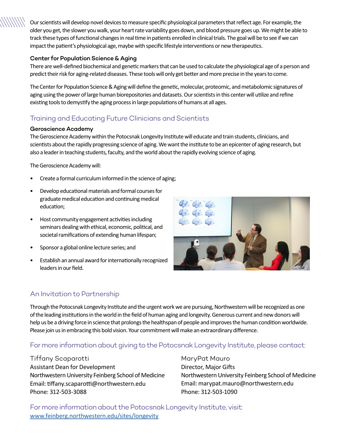Our scientists will develop novel devices to measure specific physiological parameters that reflect age. For example, the older you get, the slower you walk, your heart rate variability goes down, and blood pressure goes up. We might be able to track these types of functional changes in real time in patients enrolled in clinical trials. The goal will be to see if we can impact the patient's physiological age, maybe with specific lifestyle interventions or new therapeutics.

#### Center for Population Science & Aging

There are well-defined biochemical and genetic markers that can be used to calculate the physiological age of a person and predict their risk for aging-related diseases. These tools will only get better and more precise in the years to come.

The Center for Population Science & Aging will define the genetic, molecular, proteomic, and metabolomic signatures of aging using the power of large human biorepositories and datasets. Our scientists in this center will utilize and refine existing tools to demystify the aging process in large populations of humans at all ages.

## Training and Educating Future Clinicians and Scientists

#### Geroscience Academy

The Geroscience Academy within the Potocsnak Longevity Institute will educate and train students, clinicians, and scientists about the rapidly progressing science of aging. We want the institute to be an epicenter of aging research, but also a leader in teaching students, faculty, and the world about the rapidly evolving science of aging.

The Geroscience Academy will:

- Create a formal curriculum informed in the science of aging;
- Develop educational materials and formal courses for graduate medical education and continuing medical education;
- Host community engagement activities including seminars dealing with ethical, economic, political, and societal ramifications of extending human lifespan;
- Sponsor a global online lecture series; and
- Establish an annual award for internationally recognized leaders in our field.



## An Invitation to Partnership

Through the Potocsnak Longevity Institute and the urgent work we are pursuing, Northwestern will be recognized as one of the leading institutions in the world in the field of human aging and longevity. Generous current and new donors will help us be a driving force in science that prolongs the healthspan of people and improves the human condition worldwide. Please join us in embracing this bold vision. Your commitment will make an extraordinary difference.

### For more information about giving to the Potocsnak Longevity Institute, please contact:

Tiffany Scaparotti Assistant Dean for Development Northwestern University Feinberg School of Medicine Email: tiffany.scaparotti@northwestern.edu Phone: 312-503-3088

MaryPat Mauro Director, Major Gifts Northwestern University Feinberg School of Medicine Email: marypat.mauro@northwestern.edu Phone: 312-503-1090

For more information about the Potocsnak Longevity Institute, visit: [www.feinberg.northwestern.edu/sites/longevity](http://www.feinberg.northwestern.edu/sites/longevity)